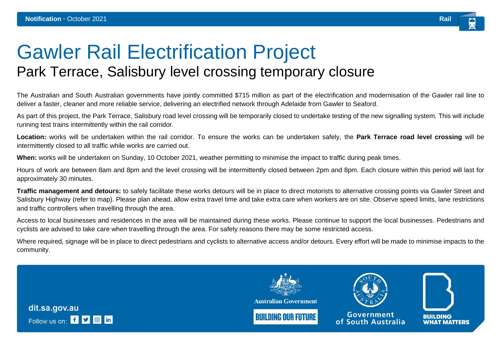## Gawler Rail Electrification Project Park Terrace, Salisbury level crossing temporary closure

The Australian and South Australian governments have jointly committed \$715 million as part of the electrification and modernisation of the Gawler rail line to deliver a faster, cleaner and more reliable service, delivering an electrified network through Adelaide from Gawler to Seaford.

As part of this project, the Park Terrace, Salisbury road level crossing will be temporarily closed to undertake testing of the new signalling system. This will include running test trains intermittently within the rail corridor.

**Location:** works will be undertaken within the rail corridor. To ensure the works can be undertaken safely, the **Park Terrace road level crossing** will be intermittently closed to all traffic while works are carried out.

**When:** works will be undertaken on Sunday, 10 October 2021, weather permitting to minimise the impact to traffic during peak times.

Hours of work are between 8am and 8pm and the level crossing will be intermittently closed between 2pm and 8pm. Each closure within this period will last for approximately 30 minutes.

**Traffic management and detours:** to safely facilitate these works detours will be in place to direct motorists to alternative crossing points via Gawler Street and Salisbury Highway (refer to map). Please plan ahead, allow extra travel time and take extra care when workers are on site. Observe speed limits, lane restrictions and traffic controllers when travelling through the area.

Access to local businesses and residences in the area will be maintained during these works. Please continue to support the local businesses. Pedestrians and cyclists are advised to take care when travelling through the area. For safety reasons there may be some restricted access.

Where required, signage will be in place to direct pedestrians and cyclists to alternative access and/or detours. Every effort will be made to minimise impacts to the community.